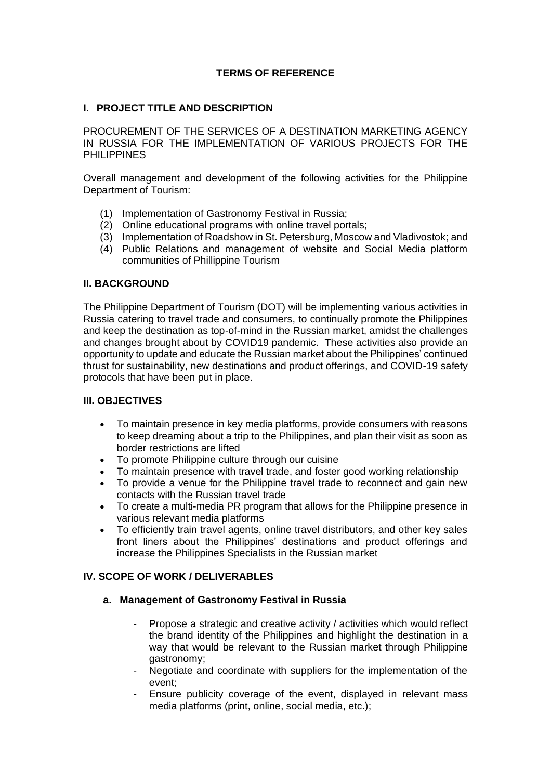## **TERMS OF REFERENCE**

## **I. PROJECT TITLE AND DESCRIPTION**

PROCUREMENT OF THE SERVICES OF A DESTINATION MARKETING AGENCY IN RUSSIA FOR THE IMPLEMENTATION OF VARIOUS PROJECTS FOR THE **PHILIPPINES** 

Overall management and development of the following activities for the Philippine Department of Tourism:

- (1) Implementation of Gastronomy Festival in Russia;
- (2) Online educational programs with online travel portals;
- (3) Implementation of Roadshow in St. Petersburg, Moscow and Vladivostok; and
- (4) Public Relations and management of website and Social Media platform communities of Phillippine Tourism

#### **II. BACKGROUND**

The Philippine Department of Tourism (DOT) will be implementing various activities in Russia catering to travel trade and consumers, to continually promote the Philippines and keep the destination as top-of-mind in the Russian market, amidst the challenges and changes brought about by COVID19 pandemic. These activities also provide an opportunity to update and educate the Russian market about the Philippines' continued thrust for sustainability, new destinations and product offerings, and COVID-19 safety protocols that have been put in place.

## **III. OBJECTIVES**

- To maintain presence in key media platforms, provide consumers with reasons to keep dreaming about a trip to the Philippines, and plan their visit as soon as border restrictions are lifted
- To promote Philippine culture through our cuisine
- To maintain presence with travel trade, and foster good working relationship<br>• To provide a venue for the Philippine travel trade to reconnect and gain net
- To provide a venue for the Philippine travel trade to reconnect and gain new contacts with the Russian travel trade
- To create a multi-media PR program that allows for the Philippine presence in various relevant media platforms
- To efficiently train travel agents, online travel distributors, and other key sales front liners about the Philippines' destinations and product offerings and increase the Philippines Specialists in the Russian market

## **IV. SCOPE OF WORK / DELIVERABLES**

#### **a. Management of Gastronomy Festival in Russia**

- Propose a strategic and creative activity / activities which would reflect the brand identity of the Philippines and highlight the destination in a way that would be relevant to the Russian market through Philippine gastronomy;
- Negotiate and coordinate with suppliers for the implementation of the event;
- Ensure publicity coverage of the event, displayed in relevant mass media platforms (print, online, social media, etc.);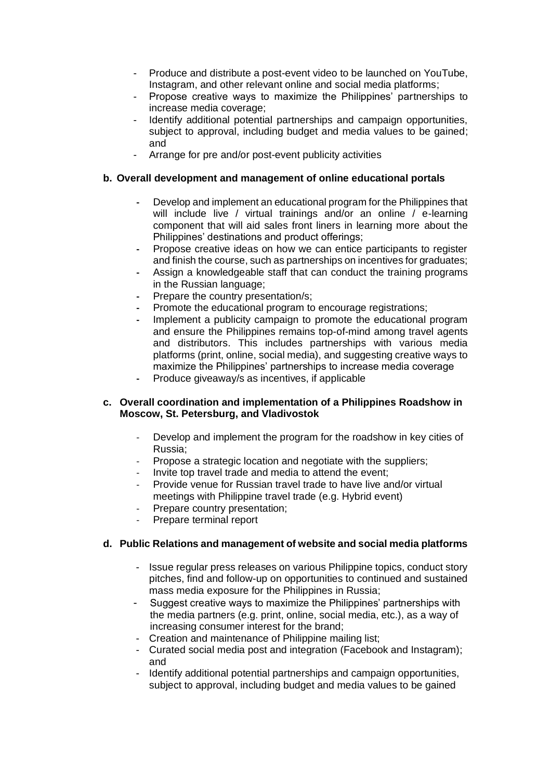- Produce and distribute a post-event video to be launched on YouTube, Instagram, and other relevant online and social media platforms;
- Propose creative ways to maximize the Philippines' partnerships to increase media coverage;
- Identify additional potential partnerships and campaign opportunities, subject to approval, including budget and media values to be gained; and
- Arrange for pre and/or post-event publicity activities

#### **b. Overall development and management of online educational portals**

- **-** Develop and implement an educational program for the Philippines that will include live / virtual trainings and/or an online / e-learning component that will aid sales front liners in learning more about the Philippines' destinations and product offerings;
- **-** Propose creative ideas on how we can entice participants to register and finish the course, such as partnerships on incentives for graduates;
- **-** Assign a knowledgeable staff that can conduct the training programs in the Russian language;
- **-** Prepare the country presentation/s;
- **-** Promote the educational program to encourage registrations;
- **-** Implement a publicity campaign to promote the educational program and ensure the Philippines remains top-of-mind among travel agents and distributors. This includes partnerships with various media platforms (print, online, social media), and suggesting creative ways to maximize the Philippines' partnerships to increase media coverage
- **-** Produce giveaway/s as incentives, if applicable

#### **c. Overall coordination and implementation of a Philippines Roadshow in Moscow, St. Petersburg, and Vladivostok**

- Develop and implement the program for the roadshow in key cities of Russia;
- Propose a strategic location and negotiate with the suppliers;
- Invite top travel trade and media to attend the event:
- Provide venue for Russian travel trade to have live and/or virtual meetings with Philippine travel trade (e.g. Hybrid event)
- Prepare country presentation;
- Prepare terminal report

#### **d. Public Relations and management of website and social media platforms**

- Issue regular press releases on various Philippine topics, conduct story pitches, find and follow-up on opportunities to continued and sustained mass media exposure for the Philippines in Russia;
- Suggest creative ways to maximize the Philippines' partnerships with the media partners (e.g. print, online, social media, etc.), as a way of increasing consumer interest for the brand;
- Creation and maintenance of Philippine mailing list;
- Curated social media post and integration (Facebook and Instagram); and
- Identify additional potential partnerships and campaign opportunities, subject to approval, including budget and media values to be gained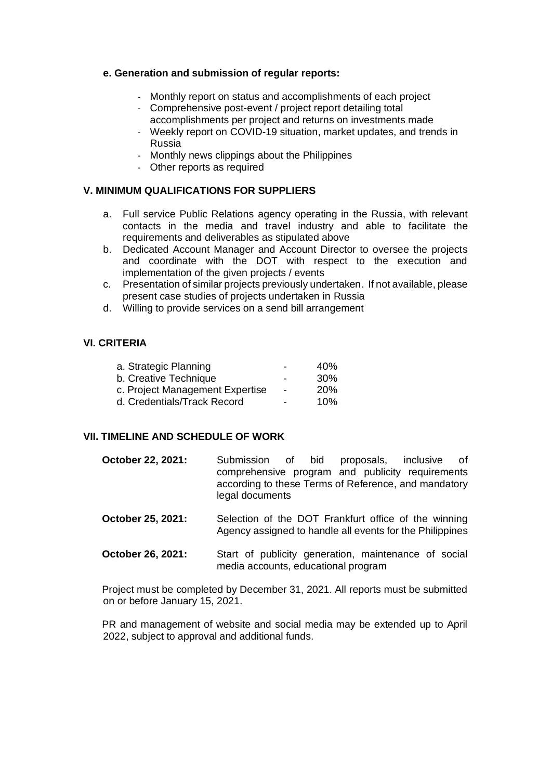#### **e. Generation and submission of regular reports:**

- Monthly report on status and accomplishments of each project
- Comprehensive post-event / project report detailing total accomplishments per project and returns on investments made
- Weekly report on COVID-19 situation, market updates, and trends in Russia
- Monthly news clippings about the Philippines
- Other reports as required

## **V. MINIMUM QUALIFICATIONS FOR SUPPLIERS**

- a. Full service Public Relations agency operating in the Russia, with relevant contacts in the media and travel industry and able to facilitate the requirements and deliverables as stipulated above
- b. Dedicated Account Manager and Account Director to oversee the projects and coordinate with the DOT with respect to the execution and implementation of the given projects / events
- c. Presentation of similar projects previously undertaken. If not available, please present case studies of projects undertaken in Russia
- d. Willing to provide services on a send bill arrangement

## **VI. CRITERIA**

|                          | 40%        |
|--------------------------|------------|
|                          | 30%        |
| $\overline{\phantom{a}}$ | <b>20%</b> |
| -                        | 10%        |
|                          |            |

## **VII. TIMELINE AND SCHEDULE OF WORK**

- **October 22, 2021:** Submission of bid proposals, inclusive of comprehensive program and publicity requirements according to these Terms of Reference, and mandatory legal documents
- **October 25, 2021:** Selection of the DOT Frankfurt office of the winning Agency assigned to handle all events for the Philippines
- **October 26, 2021:** Start of publicity generation, maintenance of social media accounts, educational program

Project must be completed by December 31, 2021. All reports must be submitted on or before January 15, 2021.

PR and management of website and social media may be extended up to April 2022, subject to approval and additional funds.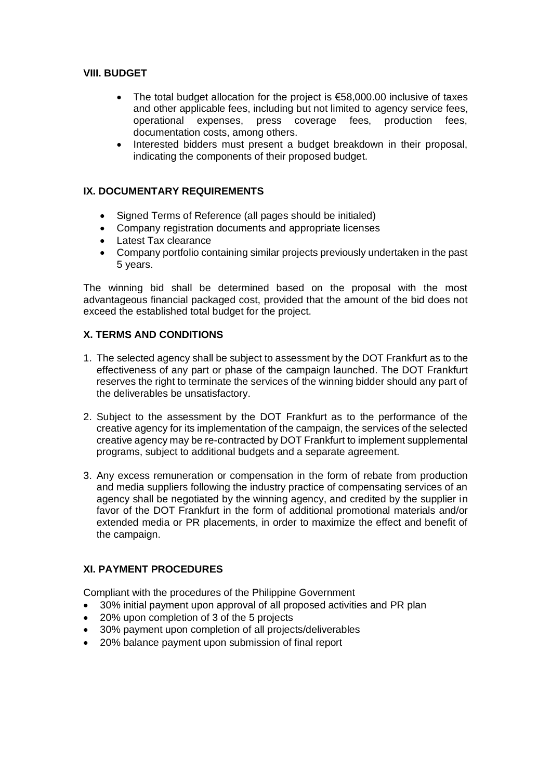## **VIII. BUDGET**

- The total budget allocation for the project is  $€58,000.00$  inclusive of taxes and other applicable fees, including but not limited to agency service fees, operational expenses, press coverage fees, production fees, documentation costs, among others.
- Interested bidders must present a budget breakdown in their proposal, indicating the components of their proposed budget.

# **IX. DOCUMENTARY REQUIREMENTS**

- Signed Terms of Reference (all pages should be initialed)
- Company registration documents and appropriate licenses
- Latest Tax clearance
- Company portfolio containing similar projects previously undertaken in the past 5 years.

The winning bid shall be determined based on the proposal with the most advantageous financial packaged cost, provided that the amount of the bid does not exceed the established total budget for the project.

# **X. TERMS AND CONDITIONS**

- 1. The selected agency shall be subject to assessment by the DOT Frankfurt as to the effectiveness of any part or phase of the campaign launched. The DOT Frankfurt reserves the right to terminate the services of the winning bidder should any part of the deliverables be unsatisfactory.
- 2. Subject to the assessment by the DOT Frankfurt as to the performance of the creative agency for its implementation of the campaign, the services of the selected creative agency may be re-contracted by DOT Frankfurt to implement supplemental programs, subject to additional budgets and a separate agreement.
- 3. Any excess remuneration or compensation in the form of rebate from production and media suppliers following the industry practice of compensating services of an agency shall be negotiated by the winning agency, and credited by the supplier in favor of the DOT Frankfurt in the form of additional promotional materials and/or extended media or PR placements, in order to maximize the effect and benefit of the campaign.

# **XI. PAYMENT PROCEDURES**

Compliant with the procedures of the Philippine Government

- 30% initial payment upon approval of all proposed activities and PR plan
- 20% upon completion of 3 of the 5 projects
- 30% payment upon completion of all projects/deliverables
- 20% balance payment upon submission of final report